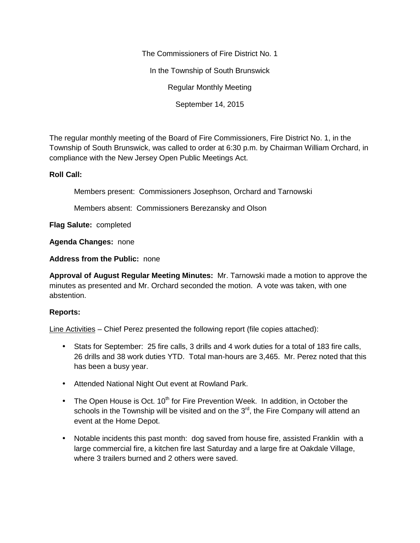The Commissioners of Fire District No. 1

In the Township of South Brunswick

Regular Monthly Meeting

September 14, 2015

The regular monthly meeting of the Board of Fire Commissioners, Fire District No. 1, in the Township of South Brunswick, was called to order at 6:30 p.m. by Chairman William Orchard, in compliance with the New Jersey Open Public Meetings Act.

## **Roll Call:**

Members present: Commissioners Josephson, Orchard and Tarnowski

Members absent: Commissioners Berezansky and Olson

**Flag Salute:** completed

**Agenda Changes:** none

**Address from the Public:** none

**Approval of August Regular Meeting Minutes:** Mr. Tarnowski made a motion to approve the minutes as presented and Mr. Orchard seconded the motion. A vote was taken, with one abstention.

## **Reports:**

Line Activities – Chief Perez presented the following report (file copies attached):

- Stats for September: 25 fire calls, 3 drills and 4 work duties for a total of 183 fire calls, 26 drills and 38 work duties YTD. Total man-hours are 3,465. Mr. Perez noted that this has been a busy year.
- Attended National Night Out event at Rowland Park.
- The Open House is Oct.  $10^{th}$  for Fire Prevention Week. In addition, in October the schools in the Township will be visited and on the  $3<sup>rd</sup>$ , the Fire Company will attend an event at the Home Depot.
- Notable incidents this past month: dog saved from house fire, assisted Franklin with a large commercial fire, a kitchen fire last Saturday and a large fire at Oakdale Village, where 3 trailers burned and 2 others were saved.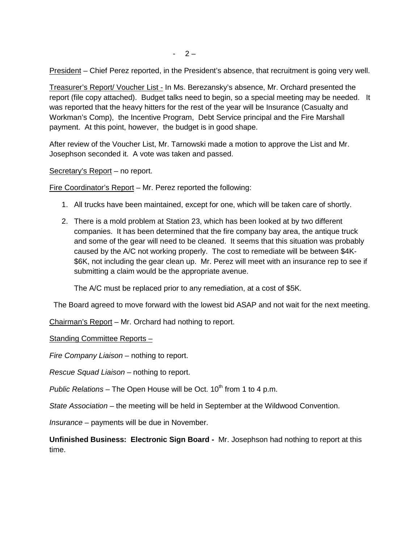President – Chief Perez reported, in the President's absence, that recruitment is going very well.

Treasurer's Report/ Voucher List - In Ms. Berezansky's absence, Mr. Orchard presented the report (file copy attached). Budget talks need to begin, so a special meeting may be needed. It was reported that the heavy hitters for the rest of the year will be Insurance (Casualty and Workman's Comp), the Incentive Program, Debt Service principal and the Fire Marshall payment. At this point, however, the budget is in good shape.

After review of the Voucher List, Mr. Tarnowski made a motion to approve the List and Mr. Josephson seconded it. A vote was taken and passed.

Secretary's Report – no report.

Fire Coordinator's Report – Mr. Perez reported the following:

- 1. All trucks have been maintained, except for one, which will be taken care of shortly.
- 2. There is a mold problem at Station 23, which has been looked at by two different companies. It has been determined that the fire company bay area, the antique truck and some of the gear will need to be cleaned. It seems that this situation was probably caused by the A/C not working properly. The cost to remediate will be between \$4K- \$6K, not including the gear clean up. Mr. Perez will meet with an insurance rep to see if submitting a claim would be the appropriate avenue.

The A/C must be replaced prior to any remediation, at a cost of \$5K.

The Board agreed to move forward with the lowest bid ASAP and not wait for the next meeting.

Chairman's Report – Mr. Orchard had nothing to report.

Standing Committee Reports -

*Fire Company Liaison –* nothing to report.

*Rescue Squad Liaison –* nothing to report.

*Public Relations* – The Open House will be Oct. 10<sup>th</sup> from 1 to 4 p.m.

*State Association –* the meeting will be held in September at the Wildwood Convention.

*Insurance –* payments will be due in November.

**Unfinished Business: Electronic Sign Board -** Mr. Josephson had nothing to report at this time.